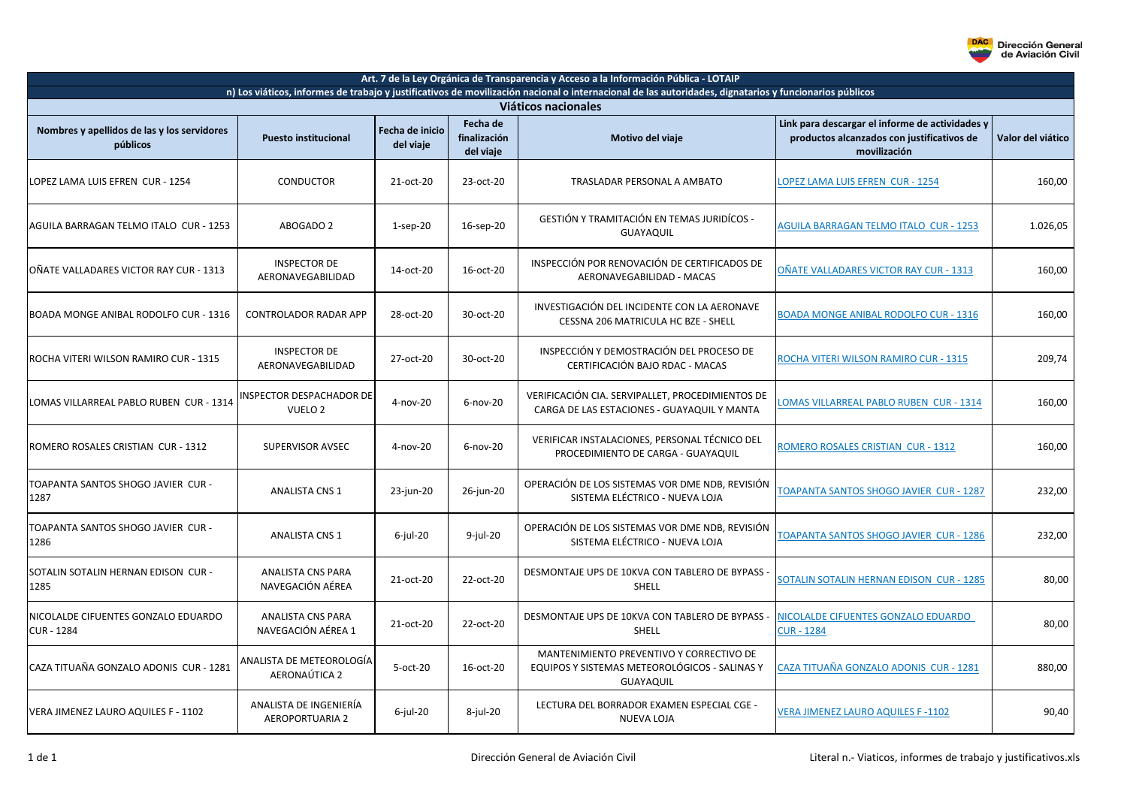

| Art. 7 de la Ley Orgánica de Transparencia y Acceso a la Información Pública - LOTAIP                                                                                         |                                                  |                              |                                       |                                                                                                        |                                                                                                               |                   |  |  |
|-------------------------------------------------------------------------------------------------------------------------------------------------------------------------------|--------------------------------------------------|------------------------------|---------------------------------------|--------------------------------------------------------------------------------------------------------|---------------------------------------------------------------------------------------------------------------|-------------------|--|--|
| n) Los viáticos, informes de trabajo y justificativos de movilización nacional o internacional de las autoridades, dignatarios y funcionarios públicos<br>Viáticos nacionales |                                                  |                              |                                       |                                                                                                        |                                                                                                               |                   |  |  |
| Nombres y apellidos de las y los servidores<br>públicos                                                                                                                       | <b>Puesto institucional</b>                      | Fecha de inicio<br>del viaje | Fecha de<br>finalización<br>del viaje | Motivo del viaje                                                                                       | Link para descargar el informe de actividades y<br>productos alcanzados con justificativos de<br>movilización | Valor del viático |  |  |
| LOPEZ LAMA LUIS EFREN CUR - 1254                                                                                                                                              | <b>CONDUCTOR</b>                                 | 21-oct-20                    | 23-oct-20                             | TRASLADAR PERSONAL A AMBATO                                                                            | LOPEZ LAMA LUIS EFREN CUR - 1254                                                                              | 160,00            |  |  |
| AGUILA BARRAGAN TELMO ITALO CUR - 1253                                                                                                                                        | ABOGADO 2                                        | $1$ -sep-20                  | 16-sep-20                             | GESTIÓN Y TRAMITACIÓN EN TEMAS JURIDÍCOS -<br><b>GUAYAQUIL</b>                                         | <b>AGUILA BARRAGAN TELMO ITALO CUR - 1253</b>                                                                 | 1.026,05          |  |  |
| OÑATE VALLADARES VICTOR RAY CUR - 1313                                                                                                                                        | <b>INSPECTOR DE</b><br>AERONAVEGABILIDAD         | 14-oct-20                    | 16-oct-20                             | INSPECCIÓN POR RENOVACIÓN DE CERTIFICADOS DE<br>AERONAVEGABILIDAD - MACAS                              | OÑATE VALLADARES VICTOR RAY CUR - 1313                                                                        | 160,00            |  |  |
| BOADA MONGE ANIBAL RODOLFO CUR - 1316                                                                                                                                         | <b>CONTROLADOR RADAR APP</b>                     | 28-oct-20                    | 30-oct-20                             | INVESTIGACIÓN DEL INCIDENTE CON LA AERONAVE<br>CESSNA 206 MATRICULA HC BZE - SHELL                     | <b>BOADA MONGE ANIBAL RODOLFO CUR - 1316</b>                                                                  | 160,00            |  |  |
| ROCHA VITERI WILSON RAMIRO CUR - 1315                                                                                                                                         | <b>INSPECTOR DE</b><br>AERONAVEGABILIDAD         | 27-oct-20                    | 30-oct-20                             | INSPECCIÓN Y DEMOSTRACIÓN DEL PROCESO DE<br>CERTIFICACIÓN BAJO RDAC - MACAS                            | ROCHA VITERI WILSON RAMIRO CUR - 1315                                                                         | 209,74            |  |  |
| LOMAS VILLARREAL PABLO RUBEN CUR - 1314                                                                                                                                       | INSPECTOR DESPACHADOR DE<br>VUELO <sub>2</sub>   | 4-nov-20                     | $6$ -nov-20                           | VERIFICACIÓN CIA. SERVIPALLET, PROCEDIMIENTOS DE<br>CARGA DE LAS ESTACIONES - GUAYAQUIL Y MANTA        | <b>LOMAS VILLARREAL PABLO RUBEN CUR - 1314</b>                                                                | 160,00            |  |  |
| ROMERO ROSALES CRISTIAN CUR - 1312                                                                                                                                            | SUPERVISOR AVSEC                                 | 4-nov-20                     | $6$ -nov-20                           | VERIFICAR INSTALACIONES, PERSONAL TÉCNICO DEL<br>PROCEDIMIENTO DE CARGA - GUAYAQUIL                    | ROMERO ROSALES CRISTIAN CUR - 1312                                                                            | 160,00            |  |  |
| TOAPANTA SANTOS SHOGO JAVIER CUR -<br>1287                                                                                                                                    | <b>ANALISTA CNS 1</b>                            | 23-jun-20                    | 26-jun-20                             | OPERACIÓN DE LOS SISTEMAS VOR DME NDB, REVISIÓN<br>SISTEMA ELÉCTRICO - NUEVA LOJA                      | TOAPANTA SANTOS SHOGO JAVIER CUR - 1287                                                                       | 232,00            |  |  |
| TOAPANTA SANTOS SHOGO JAVIER CUR -<br>1286                                                                                                                                    | <b>ANALISTA CNS 1</b>                            | $6$ -jul-20                  | $9$ -jul-20                           | OPERACIÓN DE LOS SISTEMAS VOR DME NDB, REVISIÓN<br>SISTEMA ELÉCTRICO - NUEVA LOJA                      | TOAPANTA SANTOS SHOGO JAVIER CUR - 1286                                                                       | 232,00            |  |  |
| SOTALIN SOTALIN HERNAN EDISON CUR -<br>1285                                                                                                                                   | <b>ANALISTA CNS PARA</b><br>NAVEGACIÓN AÉREA     | 21-oct-20                    | 22-oct-20                             | DESMONTAJE UPS DE 10KVA CON TABLERO DE BYPASS -<br><b>SHELL</b>                                        | <b>SOTALIN SOTALIN HERNAN EDISON CUR - 1285</b>                                                               | 80,00             |  |  |
| NICOLALDE CIFUENTES GONZALO EDUARDO<br><b>CUR - 1284</b>                                                                                                                      | <b>ANALISTA CNS PARA</b><br>NAVEGACIÓN AÉREA 1   | 21-oct-20                    | 22-oct-20                             | DESMONTAJE UPS DE 10KVA CON TABLERO DE BYPASS -<br>SHELL                                               | NICOLALDE CIFUENTES GONZALO EDUARDO<br><b>CUR - 1284</b>                                                      | 80,00             |  |  |
| CAZA TITUAÑA GONZALO ADONIS CUR - 1281                                                                                                                                        | ANALISTA DE METEOROLOGÍA<br>AERONAÚTICA 2        | $5-oct-20$                   | 16-oct-20                             | MANTENIMIENTO PREVENTIVO Y CORRECTIVO DE<br>EQUIPOS Y SISTEMAS METEOROLÓGICOS - SALINAS Y<br>GUAYAQUIL | CAZA TITUAÑA GONZALO ADONIS CUR - 1281                                                                        | 880,00            |  |  |
| VERA JIMENEZ LAURO AQUILES F - 1102                                                                                                                                           | ANALISTA DE INGENIERÍA<br><b>AEROPORTUARIA 2</b> | $6$ -jul-20                  | 8-jul-20                              | LECTURA DEL BORRADOR EXAMEN ESPECIAL CGE -<br><b>NUEVA LOJA</b>                                        | <b>VERA JIMENEZ LAURO AQUILES F-1102</b>                                                                      | 90,40             |  |  |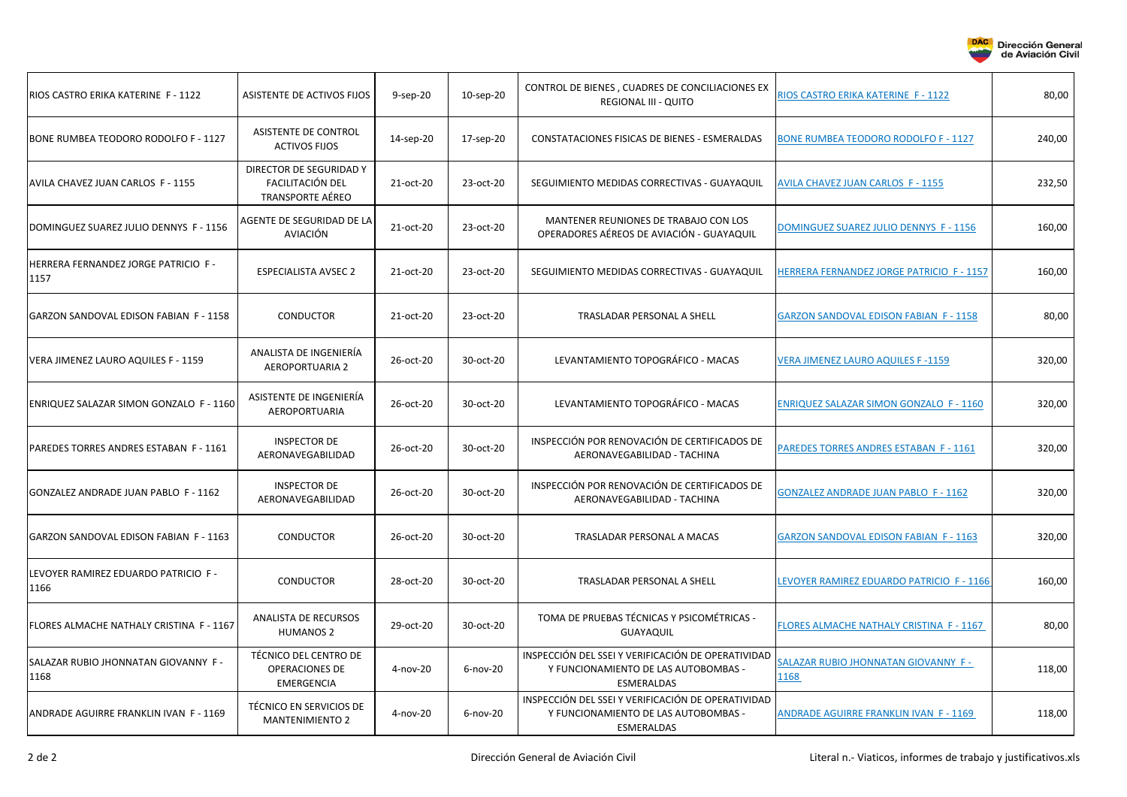

**DAC** 

**Dirección General** de Aviación Civil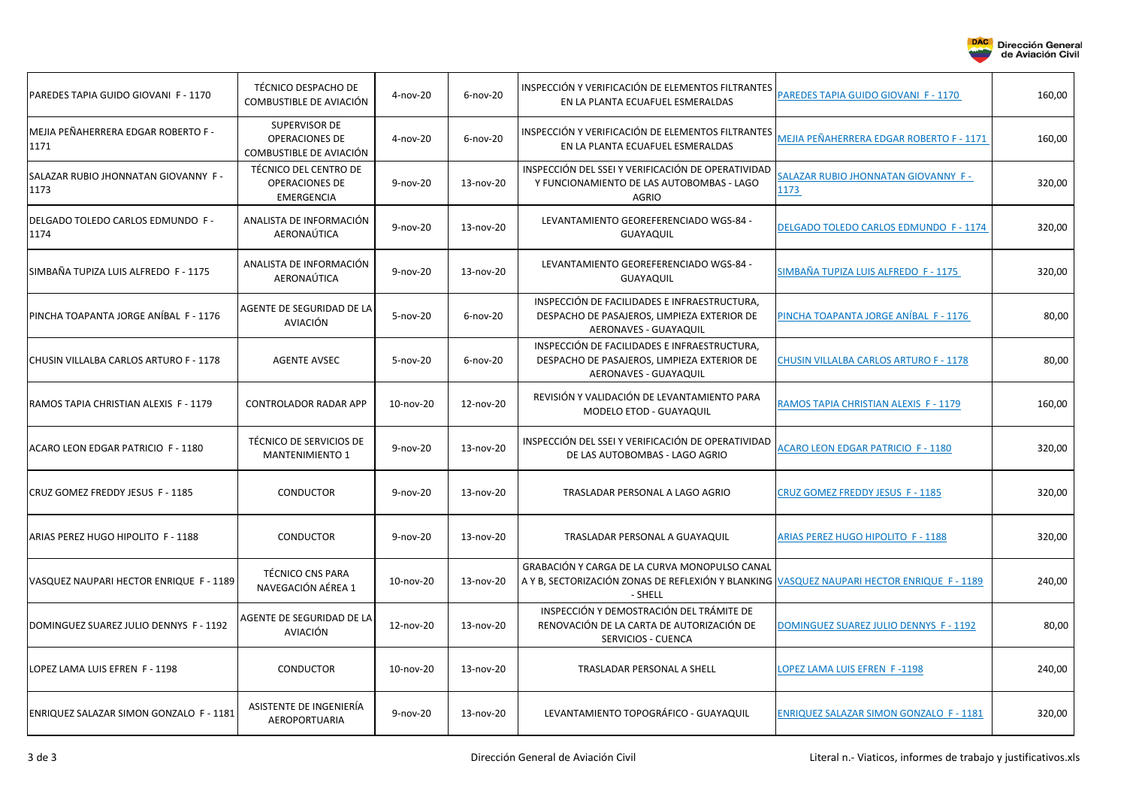

| PAREDES TAPIA GUIDO GIOVANI F - 1170        | TÉCNICO DESPACHO DE<br>COMBUSTIBLE DE AVIACIÓN                      | $4 - nov-20$ | $6$ -nov-20 | INSPECCIÓN Y VERIFICACIÓN DE ELEMENTOS FILTRANTES<br>EN LA PLANTA ECUAFUEL ESMERALDAS                                                                  | PAREDES TAPIA GUIDO GIOVANI F - 1170           | 160,00 |
|---------------------------------------------|---------------------------------------------------------------------|--------------|-------------|--------------------------------------------------------------------------------------------------------------------------------------------------------|------------------------------------------------|--------|
| MEJIA PEÑAHERRERA EDGAR ROBERTO F -<br>1171 | SUPERVISOR DE<br><b>OPERACIONES DE</b><br>COMBUSTIBLE DE AVIACIÓN   | $4 - nov-20$ | $6$ -nov-20 | INSPECCIÓN Y VERIFICACIÓN DE ELEMENTOS FILTRANTES<br>EN LA PLANTA ECUAFUEL ESMERALDAS                                                                  | MEJIA PEÑAHERRERA EDGAR ROBERTO F - 1171       | 160,00 |
| SALAZAR RUBIO JHONNATAN GIOVANNY F-<br>1173 | TÉCNICO DEL CENTRO DE<br><b>OPERACIONES DE</b><br><b>EMERGENCIA</b> | 9-nov-20     | 13-nov-20   | INSPECCIÓN DEL SSEI Y VERIFICACIÓN DE OPERATIVIDAD<br>Y FUNCIONAMIENTO DE LAS AUTOBOMBAS - LAGO<br><b>AGRIO</b>                                        | SALAZAR RUBIO JHONNATAN GIOVANNY F-<br>1173    | 320,00 |
| DELGADO TOLEDO CARLOS EDMUNDO F -<br>1174   | ANALISTA DE INFORMACIÓN<br>AERONAÚTICA                              | 9-nov-20     | 13-nov-20   | LEVANTAMIENTO GEOREFERENCIADO WGS-84 -<br><b>GUAYAQUIL</b>                                                                                             | DELGADO TOLEDO CARLOS EDMUNDO F - 1174         | 320,00 |
| SIMBAÑA TUPIZA LUIS ALFREDO F - 1175        | ANALISTA DE INFORMACIÓN<br>AERONAÚTICA                              | 9-nov-20     | 13-nov-20   | LEVANTAMIENTO GEOREFERENCIADO WGS-84 -<br><b>GUAYAQUIL</b>                                                                                             | SIMBAÑA TUPIZA LUIS ALFREDO F - 1175           | 320,00 |
| PINCHA TOAPANTA JORGE ANÍBAL F - 1176       | AGENTE DE SEGURIDAD DE LA<br><b>AVIACIÓN</b>                        | 5-nov-20     | $6$ -nov-20 | INSPECCIÓN DE FACILIDADES E INFRAESTRUCTURA,<br>DESPACHO DE PASAJEROS, LIMPIEZA EXTERIOR DE<br>AERONAVES - GUAYAQUIL                                   | PINCHA TOAPANTA JORGE ANÍBAL F - 1176          | 80,00  |
| CHUSIN VILLALBA CARLOS ARTURO F - 1178      | <b>AGENTE AVSEC</b>                                                 | 5-nov-20     | $6$ -nov-20 | INSPECCIÓN DE FACILIDADES E INFRAESTRUCTURA,<br>DESPACHO DE PASAJEROS, LIMPIEZA EXTERIOR DE<br>AERONAVES - GUAYAQUIL                                   | <b>CHUSIN VILLALBA CARLOS ARTURO F - 1178</b>  | 80,00  |
| RAMOS TAPIA CHRISTIAN ALEXIS F - 1179       | <b>CONTROLADOR RADAR APP</b>                                        | 10-nov-20    | 12-nov-20   | REVISIÓN Y VALIDACIÓN DE LEVANTAMIENTO PARA<br>MODELO ETOD - GUAYAQUIL                                                                                 | RAMOS TAPIA CHRISTIAN ALEXIS F - 1179          | 160,00 |
| ACARO LEON EDGAR PATRICIO F - 1180          | TÉCNICO DE SERVICIOS DE<br><b>MANTENIMIENTO 1</b>                   | 9-nov-20     | 13-nov-20   | INSPECCIÓN DEL SSEI Y VERIFICACIÓN DE OPERATIVIDAD<br>DE LAS AUTOBOMBAS - LAGO AGRIO                                                                   | <b>ACARO LEON EDGAR PATRICIO F - 1180</b>      | 320,00 |
| CRUZ GOMEZ FREDDY JESUS F - 1185            | <b>CONDUCTOR</b>                                                    | 9-nov-20     | 13-nov-20   | TRASLADAR PERSONAL A LAGO AGRIO                                                                                                                        | CRUZ GOMEZ FREDDY JESUS F - 1185               | 320,00 |
| ARIAS PEREZ HUGO HIPOLITO F - 1188          | <b>CONDUCTOR</b>                                                    | 9-nov-20     | 13-nov-20   | TRASLADAR PERSONAL A GUAYAQUIL                                                                                                                         | <b>ARIAS PEREZ HUGO HIPOLITO F - 1188</b>      | 320,00 |
| VASQUEZ NAUPARI HECTOR ENRIQUE F - 1189     | <b>TÉCNICO CNS PARA</b><br>NAVEGACIÓN AÉREA 1                       | 10-nov-20    | 13-nov-20   | GRABACIÓN Y CARGA DE LA CURVA MONOPULSO CANAL<br>A Y B, SECTORIZACIÓN ZONAS DE REFLEXIÓN Y BLANKING VASQUEZ NAUPARI HECTOR ENRIQUE F - 1189<br>- SHELL |                                                | 240,00 |
| DOMINGUEZ SUAREZ JULIO DENNYS F - 1192      | AGENTE DE SEGURIDAD DE LA<br>AVIACIÓN                               | 12-nov-20    | 13-nov-20   | INSPECCIÓN Y DEMOSTRACIÓN DEL TRÁMITE DE<br>RENOVACIÓN DE LA CARTA DE AUTORIZACIÓN DE<br>SERVICIOS - CUENCA                                            | DOMINGUEZ SUAREZ JULIO DENNYS F - 1192         | 80,00  |
| LOPEZ LAMA LUIS EFREN F - 1198              | <b>CONDUCTOR</b>                                                    | 10-nov-20    | 13-nov-20   | TRASLADAR PERSONAL A SHELL                                                                                                                             | LOPEZ LAMA LUIS EFREN F-1198                   | 240,00 |
| ENRIQUEZ SALAZAR SIMON GONZALO F - 1181     | ASISTENTE DE INGENIERÍA<br>AEROPORTUARIA                            | 9-nov-20     | 13-nov-20   | LEVANTAMIENTO TOPOGRÁFICO - GUAYAQUIL                                                                                                                  | <b>ENRIQUEZ SALAZAR SIMON GONZALO F - 1181</b> | 320,00 |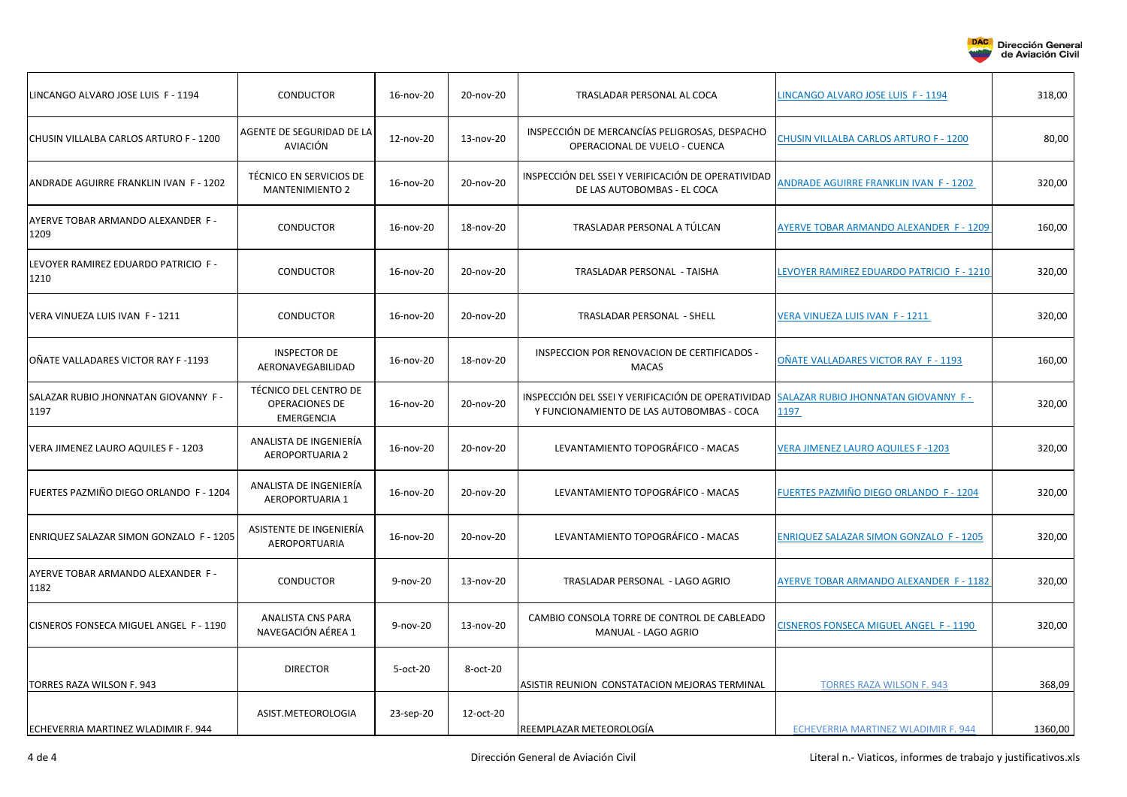

| LINCANGO ALVARO JOSE LUIS F - 1194           | <b>CONDUCTOR</b>                                                    | 16-nov-20    | 20-nov-20 | TRASLADAR PERSONAL AL COCA                                                                      | LINCANGO ALVARO JOSE LUIS F - 1194             | 318,00  |
|----------------------------------------------|---------------------------------------------------------------------|--------------|-----------|-------------------------------------------------------------------------------------------------|------------------------------------------------|---------|
| CHUSIN VILLALBA CARLOS ARTURO F - 1200       | AGENTE DE SEGURIDAD DE LA<br>AVIACIÓN                               | 12-nov-20    | 13-nov-20 | INSPECCIÓN DE MERCANCÍAS PELIGROSAS, DESPACHO<br>OPERACIONAL DE VUELO - CUENCA                  | CHUSIN VILLALBA CARLOS ARTURO F - 1200         | 80,00   |
| ANDRADE AGUIRRE FRANKLIN IVAN F - 1202       | TÉCNICO EN SERVICIOS DE<br><b>MANTENIMIENTO 2</b>                   | 16-nov-20    | 20-nov-20 | INSPECCIÓN DEL SSEI Y VERIFICACIÓN DE OPERATIVIDAD<br>DE LAS AUTOBOMBAS - EL COCA               | <b>ANDRADE AGUIRRE FRANKLIN IVAN F - 1202</b>  | 320,00  |
| AYERVE TOBAR ARMANDO ALEXANDER F-<br>1209    | <b>CONDUCTOR</b>                                                    | 16-nov-20    | 18-nov-20 | TRASLADAR PERSONAL A TÚLCAN                                                                     | AYERVE TOBAR ARMANDO ALEXANDER F - 1209        | 160,00  |
| LEVOYER RAMIREZ EDUARDO PATRICIO F -<br>1210 | <b>CONDUCTOR</b>                                                    | 16-nov-20    | 20-nov-20 | TRASLADAR PERSONAL - TAISHA                                                                     | EVOYER RAMIREZ EDUARDO PATRICIO F - 1210       | 320,00  |
| VERA VINUEZA LUIS IVAN F - 1211              | <b>CONDUCTOR</b>                                                    | 16-nov-20    | 20-nov-20 | TRASLADAR PERSONAL - SHELL                                                                      | VERA VINUEZA LUIS IVAN F - 1211                | 320,00  |
| OÑATE VALLADARES VICTOR RAY F -1193          | <b>INSPECTOR DE</b><br>AERONAVEGABILIDAD                            | 16-nov-20    | 18-nov-20 | INSPECCION POR RENOVACION DE CERTIFICADOS -<br><b>MACAS</b>                                     | OÑATE VALLADARES VICTOR RAY F - 1193           | 160,00  |
| SALAZAR RUBIO JHONNATAN GIOVANNY F -<br>1197 | TÉCNICO DEL CENTRO DE<br><b>OPERACIONES DE</b><br><b>EMERGENCIA</b> | 16-nov-20    | 20-nov-20 | INSPECCIÓN DEL SSEI Y VERIFICACIÓN DE OPERATIVIDAD<br>Y FUNCIONAMIENTO DE LAS AUTOBOMBAS - COCA | SALAZAR RUBIO JHONNATAN GIOVANNY F-<br>1197    | 320,00  |
| VERA JIMENEZ LAURO AQUILES F - 1203          | ANALISTA DE INGENIERÍA<br><b>AEROPORTUARIA 2</b>                    | 16-nov-20    | 20-nov-20 | LEVANTAMIENTO TOPOGRÁFICO - MACAS                                                               | <b>VERA JIMENEZ LAURO AQUILES F-1203</b>       | 320,00  |
| FUERTES PAZMIÑO DIEGO ORLANDO F - 1204       | ANALISTA DE INGENIERÍA<br><b>AEROPORTUARIA 1</b>                    | 16-nov-20    | 20-nov-20 | LEVANTAMIENTO TOPOGRÁFICO - MACAS                                                               | FUERTES PAZMIÑO DIEGO ORLANDO F - 1204         | 320,00  |
| ENRIQUEZ SALAZAR SIMON GONZALO F - 1205      | ASISTENTE DE INGENIERÍA<br>AEROPORTUARIA                            | 16-nov-20    | 20-nov-20 | LEVANTAMIENTO TOPOGRÁFICO - MACAS                                                               | <b>ENRIQUEZ SALAZAR SIMON GONZALO F - 1205</b> | 320,00  |
| AYERVE TOBAR ARMANDO ALEXANDER F -<br>1182   | <b>CONDUCTOR</b>                                                    | 9-nov-20     | 13-nov-20 | TRASLADAR PERSONAL - LAGO AGRIO                                                                 | AYERVE TOBAR ARMANDO ALEXANDER F - 1182        | 320,00  |
| CISNEROS FONSECA MIGUEL ANGEL F - 1190       | <b>ANALISTA CNS PARA</b><br>NAVEGACIÓN AÉREA 1                      | $9 - nov-20$ | 13-nov-20 | CAMBIO CONSOLA TORRE DE CONTROL DE CABLEADO<br>MANUAL - LAGO AGRIO                              | CISNEROS FONSECA MIGUEL ANGEL F - 1190         | 320,00  |
| TORRES RAZA WILSON F. 943                    | <b>DIRECTOR</b>                                                     | 5-oct-20     | 8-oct-20  | ASISTIR REUNION CONSTATACION MEJORAS TERMINAL                                                   | <b>TORRES RAZA WILSON F. 943</b>               | 368,09  |
| ECHEVERRIA MARTINEZ WLADIMIR F. 944          | ASIST.METEOROLOGIA                                                  | 23-sep-20    | 12-oct-20 | REEMPLAZAR METEOROLOGÍA                                                                         | ECHEVERRIA MARTINEZ WLADIMIR F. 944            | 1360,00 |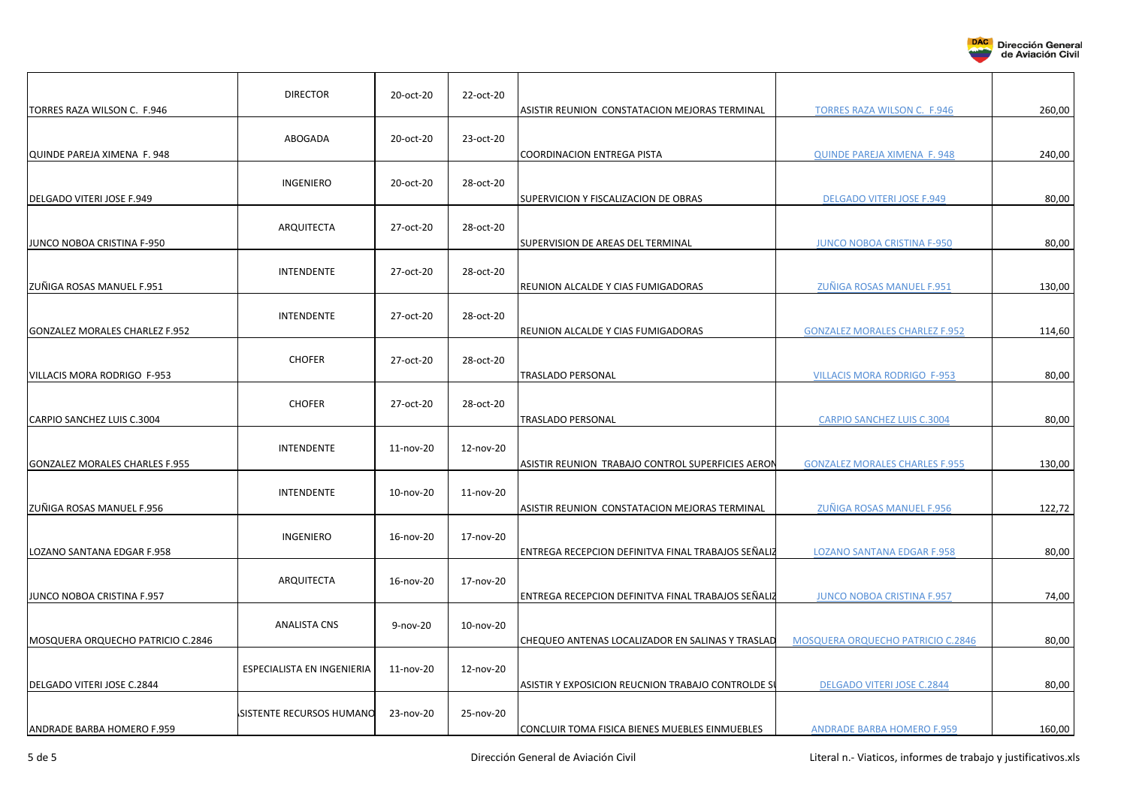

| TORRES RAZA WILSON C. F.946       | <b>DIRECTOR</b>            | 20-oct-20    | 22-oct-20 | ASISTIR REUNION CONSTATACION MEJORAS TERMINAL      | <b>TORRES RAZA WILSON C. F.946</b>       | 260,00 |
|-----------------------------------|----------------------------|--------------|-----------|----------------------------------------------------|------------------------------------------|--------|
| QUINDE PAREJA XIMENA F. 948       | ABOGADA                    | 20-oct-20    | 23-oct-20 | COORDINACION ENTREGA PISTA                         | <b>QUINDE PAREJA XIMENA F. 948</b>       | 240,00 |
| DELGADO VITERI JOSE F.949         | <b>INGENIERO</b>           | 20-oct-20    | 28-oct-20 | SUPERVICION Y FISCALIZACION DE OBRAS               | <b>DELGADO VITERI JOSE F.949</b>         | 80,00  |
| JUNCO NOBOA CRISTINA F-950        | ARQUITECTA                 | 27-oct-20    | 28-oct-20 | SUPERVISION DE AREAS DEL TERMINAL                  | <b>JUNCO NOBOA CRISTINA F-950</b>        | 80,00  |
| ZUÑIGA ROSAS MANUEL F.951         | <b>INTENDENTE</b>          | 27-oct-20    | 28-oct-20 | REUNION ALCALDE Y CIAS FUMIGADORAS                 | ZUÑIGA ROSAS MANUEL F.951                | 130,00 |
| GONZALEZ MORALES CHARLEZ F.952    | <b>INTENDENTE</b>          | 27-oct-20    | 28-oct-20 | REUNION ALCALDE Y CIAS FUMIGADORAS                 | <b>GONZALEZ MORALES CHARLEZ F.952</b>    | 114,60 |
| VILLACIS MORA RODRIGO F-953       | <b>CHOFER</b>              | 27-oct-20    | 28-oct-20 | TRASLADO PERSONAL                                  | <b>VILLACIS MORA RODRIGO F-953</b>       | 80,00  |
| CARPIO SANCHEZ LUIS C.3004        | <b>CHOFER</b>              | 27-oct-20    | 28-oct-20 | TRASLADO PERSONAL                                  | <b>CARPIO SANCHEZ LUIS C.3004</b>        | 80,00  |
| GONZALEZ MORALES CHARLES F.955    | <b>INTENDENTE</b>          | 11-nov-20    | 12-nov-20 | ASISTIR REUNION TRABAJO CONTROL SUPERFICIES AERON  | <b>GONZALEZ MORALES CHARLES F.955</b>    | 130,00 |
| ZUÑIGA ROSAS MANUEL F.956         | <b>INTENDENTE</b>          | 10-nov-20    | 11-nov-20 | ASISTIR REUNION CONSTATACION MEJORAS TERMINAL      | ZUÑIGA ROSAS MANUEL F.956                | 122,72 |
| LOZANO SANTANA EDGAR F.958        | INGENIERO                  | 16-nov-20    | 17-nov-20 | ENTREGA RECEPCION DEFINITVA FINAL TRABAJOS SEÑALIZ | LOZANO SANTANA EDGAR F.958               | 80,00  |
| JUNCO NOBOA CRISTINA F.957        | ARQUITECTA                 | 16-nov-20    | 17-nov-20 | ENTREGA RECEPCION DEFINITVA FINAL TRABAJOS SEÑALIZ | <b>JUNCO NOBOA CRISTINA F.957</b>        | 74,00  |
| MOSQUERA ORQUECHO PATRICIO C.2846 | <b>ANALISTA CNS</b>        | $9 - nov-20$ | 10-nov-20 | CHEQUEO ANTENAS LOCALIZADOR EN SALINAS Y TRASLAD   | <b>MOSQUERA ORQUECHO PATRICIO C.2846</b> | 80,00  |
| DELGADO VITERI JOSE C.2844        | ESPECIALISTA EN INGENIERIA | 11-nov-20    | 12-nov-20 | ASISTIR Y EXPOSICION REUCNION TRABAJO CONTROLDE SI | DELGADO VITERI JOSE C.2844               | 80,00  |
| <b>ANDRADE BARBA HOMERO F.959</b> | SISTENTE RECURSOS HUMANO   | 23-nov-20    | 25-nov-20 | CONCLUIR TOMA FISICA BIENES MUEBLES EINMUEBLES     | <b>ANDRADE BARBA HOMERO F.959</b>        | 160,00 |